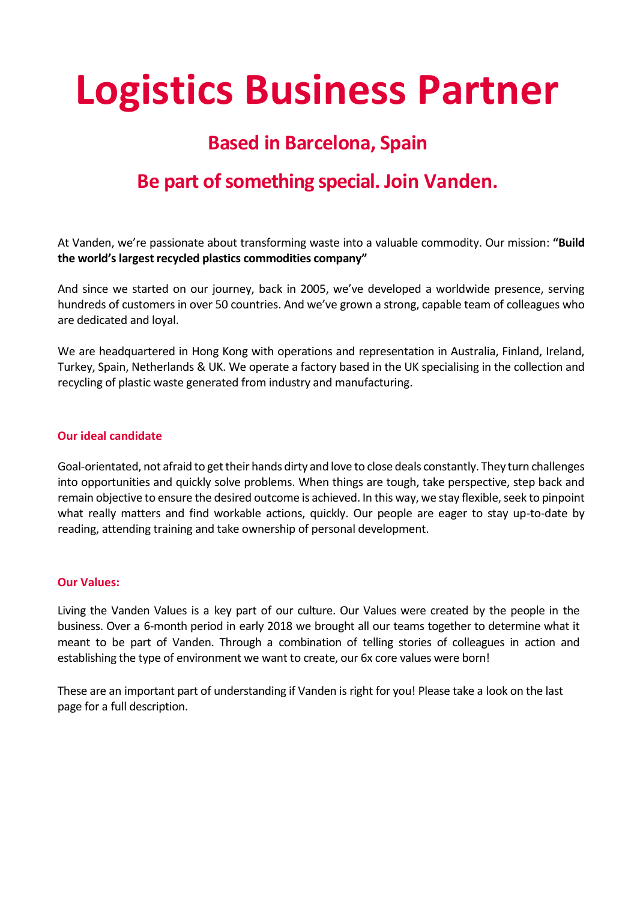# **Logistics Business Partner**

# **Based in Barcelona, Spain**

# **Be part of something special. Join Vanden.**

At Vanden, we're passionate about transforming waste into a valuable commodity. Our mission: **"Build the world's largest recycled plastics commodities company"**

And since we started on our journey, back in 2005, we've developed a worldwide presence, serving hundreds of customers in over 50 countries. And we've grown a strong, capable team of colleagues who are dedicated and loyal.

We are headquartered in Hong Kong with operations and representation in Australia, Finland, Ireland, Turkey, Spain, Netherlands & UK. We operate a factory based in the UK specialising in the collection and recycling of plastic waste generated from industry and manufacturing.

#### **Our ideal candidate**

Goal-orientated, not afraid to get their hands dirty and love to close deals constantly. They turn challenges into opportunities and quickly solve problems. When things are tough, take perspective, step back and remain objective to ensure the desired outcome is achieved. In this way, we stay flexible, seek to pinpoint what really matters and find workable actions, quickly. Our people are eager to stay up-to-date by reading, attending training and take ownership of personal development.

#### **Our Values:**

Living the Vanden Values is a key part of our culture. Our Values were created by the people in the business. Over a 6-month period in early 2018 we brought all our teams together to determine what it meant to be part of Vanden. Through a combination of telling stories of colleagues in action and establishing the type of environment we want to create, our 6x core values were born!

These are an important part of understanding if Vanden is right for you! Please take a look on the last page for a full description.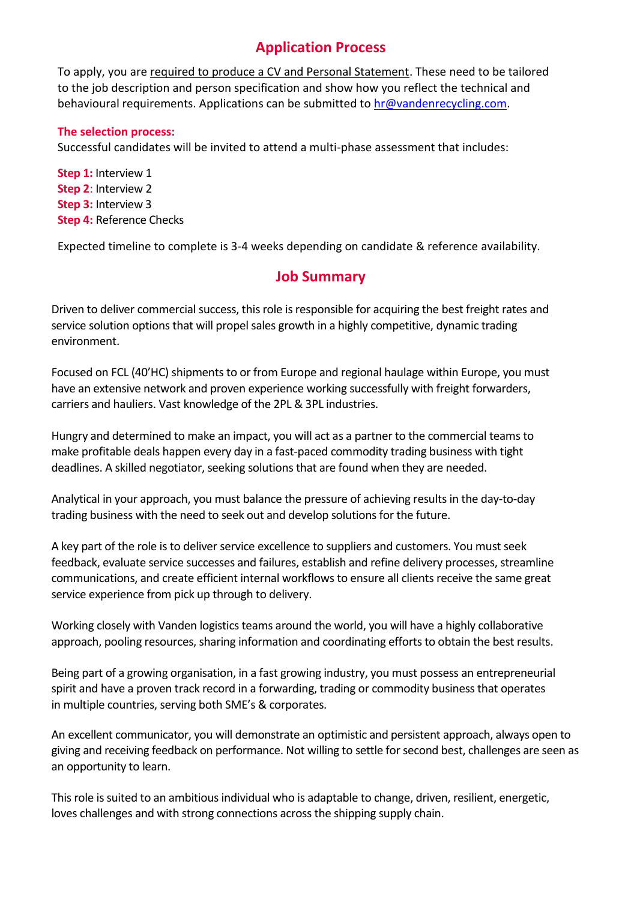## **Application Process**

To apply, you are required to produce a CV and Personal Statement. These need to be tailored to the job description and person specification and show how you reflect the technical and behavioural requirements. Applications can be submitted to [hr@vandenrecycling.com.](mailto:hr@vandenrecycling.com)

#### **The selection process:**

Successful candidates will be invited to attend a multi-phase assessment that includes:

**Step 1:** Interview 1 **Step 2**: Interview 2 **Step 3:** Interview 3 **Step 4:** Reference Checks

Expected timeline to complete is 3-4 weeks depending on candidate & reference availability.

## **Job Summary**

Driven to deliver commercial success, this role is responsible for acquiring the best freight rates and service solution options that will propel sales growth in a highly competitive, dynamic trading environment.

Focused on FCL (40'HC) shipments to or from Europe and regional haulage within Europe, you must have an extensive network and proven experience working successfully with freight forwarders, carriers and hauliers. Vast knowledge of the 2PL & 3PL industries.

Hungry and determined to make an impact, you will act as a partner to the commercial teamsto make profitable deals happen every day in a fast-paced commodity trading business with tight deadlines. A skilled negotiator, seeking solutions that are found when they are needed.

Analytical in your approach, you must balance the pressure of achieving results in the day-to-day trading business with the need to seek out and develop solutions for the future.

A key part of the role is to deliver service excellence to suppliers and customers. You must seek feedback, evaluate service successes and failures, establish and refine delivery processes, streamline communications, and create efficient internal workflowsto ensure all clients receive the same great service experience from pick up through to delivery.

Working closely with Vanden logistics teams around the world, you will have a highly collaborative approach, pooling resources, sharing information and coordinating efforts to obtain the best results.

Being part of a growing organisation, in a fast growing industry, you must possess an entrepreneurial spirit and have a proven track record in a forwarding, trading or commodity business that operates in multiple countries, serving both SME's & corporates.

An excellent communicator, you will demonstrate an optimistic and persistent approach, always open to giving and receiving feedback on performance. Not willing to settle for second best, challenges are seen as an opportunity to learn.

This role is suited to an ambitious individual who is adaptable to change, driven, resilient, energetic, loves challenges and with strong connections across the shipping supply chain.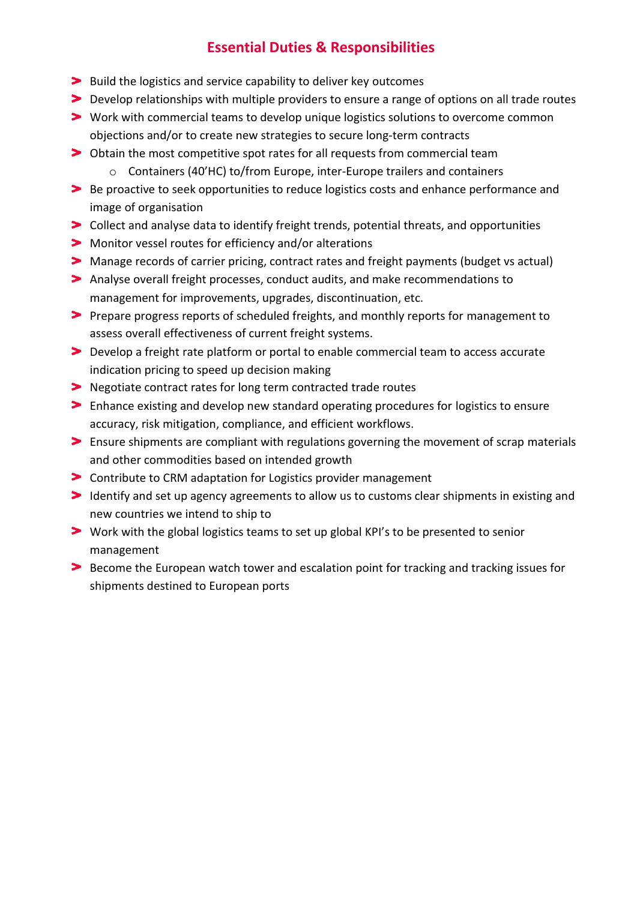## **Essential Duties & Responsibilities**

- **Build the logistics and service capability to deliver key outcomes**
- Develop relationships with multiple providers to ensure a range of options on all trade routes
- Work with commercial teams to develop unique logistics solutions to overcome common objections and/or to create new strategies to secure long-term contracts
- Obtain the most competitive spot rates for all requests from commercial team
	- o Containers (40'HC) to/from Europe, inter-Europe trailers and containers
- Be proactive to seek opportunities to reduce logistics costs and enhance performance and image of organisation
- Collect and analyse data to identify freight trends, potential threats, and opportunities
- Monitor vessel routes for efficiency and/or alterations
- Manage records of carrier pricing, contract rates and freight payments (budget vs actual)
- Analyse overall freight processes, conduct audits, and make recommendations to management for improvements, upgrades, discontinuation, etc.
- Prepare progress reports of scheduled freights, and monthly reports for management to assess overall effectiveness of current freight systems.
- Develop a freight rate platform or portal to enable commercial team to access accurate indication pricing to speed up decision making
- Negotiate contract rates for long term contracted trade routes
- Enhance existing and develop new standard operating procedures for logistics to ensure accuracy, risk mitigation, compliance, and efficient workflows.
- Ensure shipments are compliant with regulations governing the movement of scrap materials and other commodities based on intended growth
- Contribute to CRM adaptation for Logistics provider management
- Identify and set up agency agreements to allow us to customs clear shipments in existing and new countries we intend to ship to
- Work with the global logistics teams to set up global KPI's to be presented to senior management
- Become the European watch tower and escalation point for tracking and tracking issues for shipments destined to European ports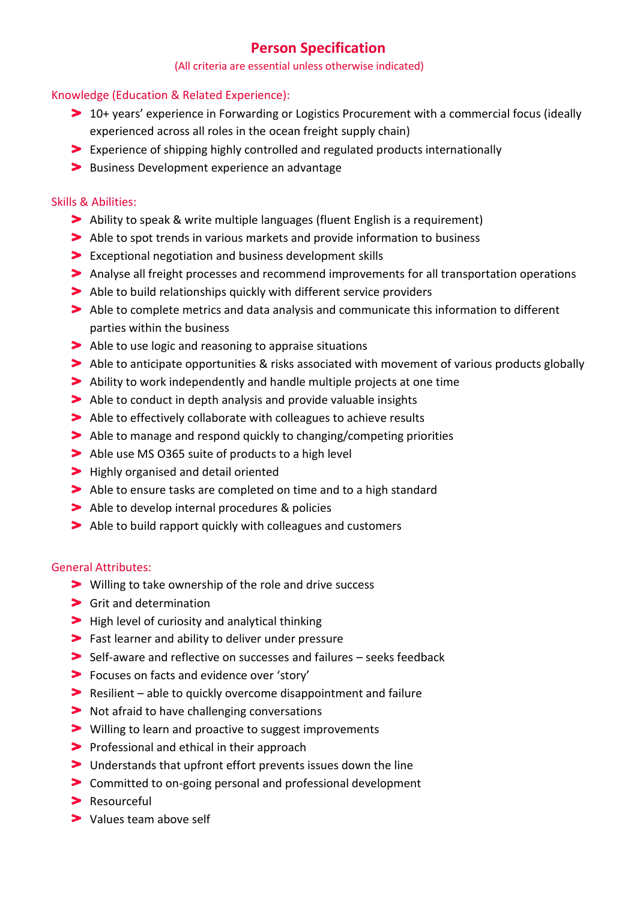## **Person Specification**

#### (All criteria are essential unless otherwise indicated)

#### Knowledge (Education & Related Experience):

- 10+ years' experience in Forwarding or Logistics Procurement with a commercial focus (ideally experienced across all roles in the ocean freight supply chain)
- Experience of shipping highly controlled and regulated products internationally
- **Business Development experience an advantage**

#### Skills & Abilities:

- Ability to speak & write multiple languages (fluent English is a requirement)
- Able to spot trends in various markets and provide information to business
- Exceptional negotiation and business development skills
- Analyse all freight processes and recommend improvements for all transportation operations
- Able to build relationships quickly with different service providers
- Able to complete metrics and data analysis and communicate this information to different parties within the business
- Able to use logic and reasoning to appraise situations
- Able to anticipate opportunities & risks associated with movement of various products globally
- Ability to work independently and handle multiple projects at one time
- Able to conduct in depth analysis and provide valuable insights
- Able to effectively collaborate with colleagues to achieve results
- Able to manage and respond quickly to changing/competing priorities
- Able use MS 0365 suite of products to a high level
- **>** Highly organised and detail oriented
- Able to ensure tasks are completed on time and to a high standard
- Able to develop internal procedures & policies
- Able to build rapport quickly with colleagues and customers

#### General Attributes:

- Willing to take ownership of the role and drive success
- > Grit and determination
- **>** High level of curiosity and analytical thinking
- Fast learner and ability to deliver under pressure
- Self-aware and reflective on successes and failures seeks feedback
- Focuses on facts and evidence over 'story'
- Resilient able to quickly overcome disappointment and failure
- **Not afraid to have challenging conversations**
- **>** Willing to learn and proactive to suggest improvements
- **Professional and ethical in their approach**
- Understands that upfront effort prevents issues down the line
- Committed to on-going personal and professional development
- **Resourceful**
- > Values team above self